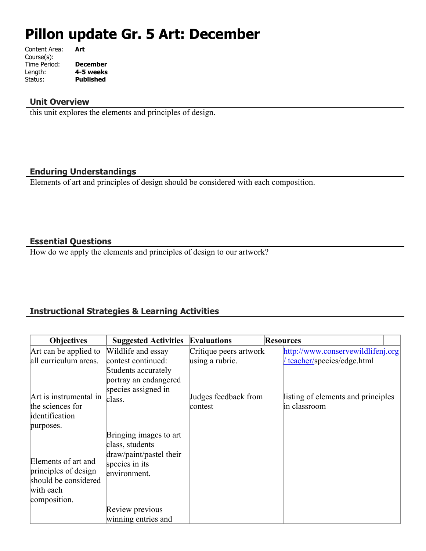# **Pillon update Gr. 5 Art: December**

| Content Area: | Art              |
|---------------|------------------|
| Course(s):    |                  |
| Time Period:  | <b>December</b>  |
| Length:       | 4-5 weeks        |
| Status:       | <b>Published</b> |
|               |                  |

#### **Unit Overview**

this unit explores the elements and principles of design.

#### **Enduring Understandings**

Elements of art and principles of design should be considered with each composition.

## **Essential Questions**

How do we apply the elements and principles of design to our artwork?

# **Instructional Strategies & Learning Activities**

| <b>Objectives</b>                            | <b>Suggested Activities</b> | <b>Evaluations</b>     | <b>Resources</b>                   |
|----------------------------------------------|-----------------------------|------------------------|------------------------------------|
| Art can be applied to                        | Wildlife and essay          | Critique peers artwork | http://www.conservewildlifenj.org  |
| all curriculum areas.                        | contest continued:          | using a rubric.        | teacher/species/edge.html          |
|                                              | Students accurately         |                        |                                    |
|                                              | portray an endangered       |                        |                                    |
|                                              | species assigned in         |                        |                                    |
| Art is instrumental in                       | class.                      | Judges feedback from   | listing of elements and principles |
| the sciences for                             |                             | contest                | in classroom                       |
| identification                               |                             |                        |                                    |
| purposes.                                    |                             |                        |                                    |
|                                              | Bringing images to art      |                        |                                    |
|                                              | class, students             |                        |                                    |
| Elements of art and                          | draw/paint/pastel their     |                        |                                    |
|                                              | species in its              |                        |                                    |
| principles of design<br>should be considered | environment.                |                        |                                    |
| with each                                    |                             |                        |                                    |
|                                              |                             |                        |                                    |
| composition.                                 | Review previous             |                        |                                    |
|                                              | winning entries and         |                        |                                    |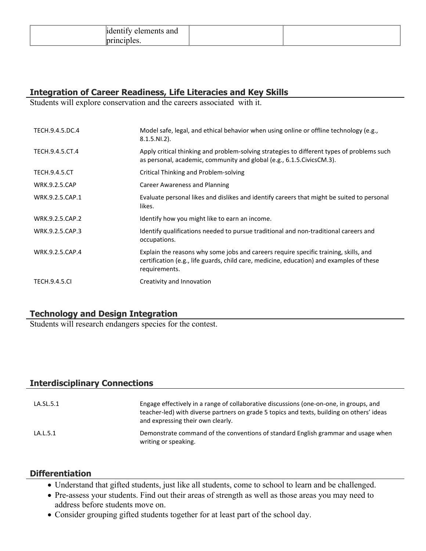## **Integration of Career Readiness, Life Literacies and Key Skills**

Students will explore conservation and the careers associated with it.

| TECH.9.4.5.DC.4      | Model safe, legal, and ethical behavior when using online or offline technology (e.g.,<br>$8.1.5.NI.2$ ).                                                                                         |
|----------------------|---------------------------------------------------------------------------------------------------------------------------------------------------------------------------------------------------|
| TECH.9.4.5.CT.4      | Apply critical thinking and problem-solving strategies to different types of problems such<br>as personal, academic, community and global (e.g., 6.1.5. Civics CM.3).                             |
| <b>TECH.9.4.5.CT</b> | Critical Thinking and Problem-solving                                                                                                                                                             |
| <b>WRK.9.2.5.CAP</b> | Career Awareness and Planning                                                                                                                                                                     |
| WRK.9.2.5.CAP.1      | Evaluate personal likes and dislikes and identify careers that might be suited to personal<br>likes.                                                                                              |
| WRK.9.2.5.CAP.2      | Identify how you might like to earn an income.                                                                                                                                                    |
| WRK.9.2.5.CAP.3      | Identify qualifications needed to pursue traditional and non-traditional careers and<br>occupations.                                                                                              |
| WRK.9.2.5.CAP.4      | Explain the reasons why some jobs and careers require specific training, skills, and<br>certification (e.g., life guards, child care, medicine, education) and examples of these<br>requirements. |
| <b>TECH.9.4.5.CI</b> | Creativity and Innovation                                                                                                                                                                         |

## **Technology and Design Integration**

Students will research endangers species for the contest.

## **Interdisciplinary Connections**

| LA.SL.5.1 | Engage effectively in a range of collaborative discussions (one-on-one, in groups, and<br>teacher-led) with diverse partners on grade 5 topics and texts, building on others' ideas<br>and expressing their own clearly. |
|-----------|--------------------------------------------------------------------------------------------------------------------------------------------------------------------------------------------------------------------------|
| LA.L.5.1  | Demonstrate command of the conventions of standard English grammar and usage when<br>writing or speaking.                                                                                                                |

#### **Differentiation**

- Understand that gifted students, just like all students, come to school to learn and be challenged.
- Pre-assess your students. Find out their areas of strength as well as those areas you may need to address before students move on.
- Consider grouping gifted students together for at least part of the school day.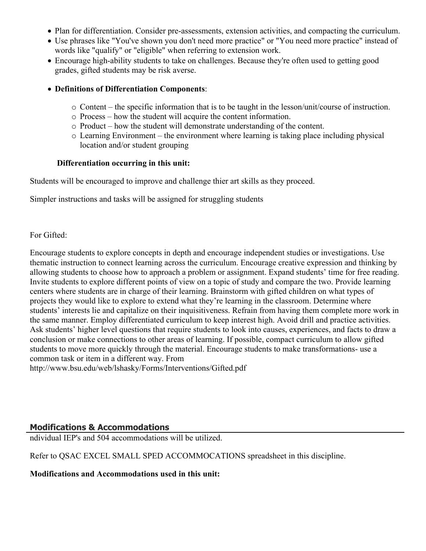- Plan for differentiation. Consider pre-assessments, extension activities, and compacting the curriculum.
- Use phrases like "You've shown you don't need more practice" or "You need more practice" instead of words like "qualify" or "eligible" when referring to extension work.
- Encourage high-ability students to take on challenges. Because they're often used to getting good grades, gifted students may be risk averse.

#### **Definitions of Differentiation Components**:

- o Content the specific information that is to be taught in the lesson/unit/course of instruction.
- o Process how the student will acquire the content information.
- o Product how the student will demonstrate understanding of the content.
- o Learning Environment the environment where learning is taking place including physical location and/or student grouping

#### **Differentiation occurring in this unit:**

Students will be encouraged to improve and challenge thier art skills as they proceed.

Simpler instructions and tasks will be assigned for struggling students

For Gifted:

Encourage students to explore concepts in depth and encourage independent studies or investigations. Use thematic instruction to connect learning across the curriculum. Encourage creative expression and thinking by allowing students to choose how to approach a problem or assignment. Expand students' time for free reading. Invite students to explore different points of view on a topic of study and compare the two. Provide learning centers where students are in charge of their learning. Brainstorm with gifted children on what types of projects they would like to explore to extend what they're learning in the classroom. Determine where students' interests lie and capitalize on their inquisitiveness. Refrain from having them complete more work in the same manner. Employ differentiated curriculum to keep interest high. Avoid drill and practice activities. Ask students' higher level questions that require students to look into causes, experiences, and facts to draw a conclusion or make connections to other areas of learning. If possible, compact curriculum to allow gifted students to move more quickly through the material. Encourage students to make transformations- use a common task or item in a different way. From http://www.bsu.edu/web/lshasky/Forms/Interventions/Gifted.pdf

#### **Modifications & Accommodations**

ndividual IEP's and 504 accommodations will be utilized.

Refer to QSAC EXCEL SMALL SPED ACCOMMOCATIONS spreadsheet in this discipline.

**Modifications and Accommodations used in this unit:**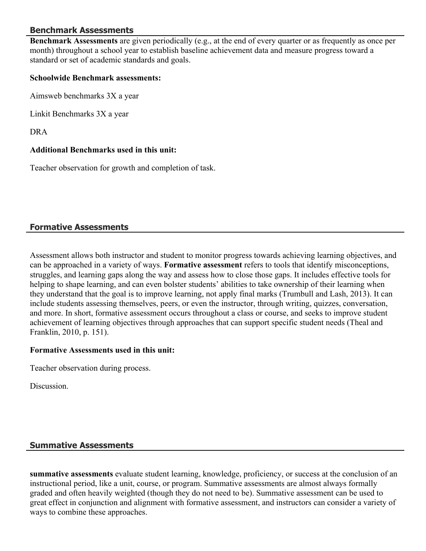## **Benchmark Assessments**

**Benchmark Assessments** are given periodically (e.g., at the end of every quarter or as frequently as once per month) throughout a school year to establish baseline achievement data and measure progress toward a standard or set of academic standards and goals.

#### **Schoolwide Benchmark assessments:**

Aimsweb benchmarks 3X a year

Linkit Benchmarks 3X a year

DRA

#### **Additional Benchmarks used in this unit:**

Teacher observation for growth and completion of task.

## **Formative Assessments**

Assessment allows both instructor and student to monitor progress towards achieving learning objectives, and can be approached in a variety of ways. **Formative assessment** refers to tools that identify misconceptions, struggles, and learning gaps along the way and assess how to close those gaps. It includes effective tools for helping to shape learning, and can even bolster students' abilities to take ownership of their learning when they understand that the goal is to improve learning, not apply final marks (Trumbull and Lash, 2013). It can include students assessing themselves, peers, or even the instructor, through writing, quizzes, conversation, and more. In short, formative assessment occurs throughout a class or course, and seeks to improve student achievement of learning objectives through approaches that can support specific student needs (Theal and Franklin, 2010, p. 151).

#### **Formative Assessments used in this unit:**

Teacher observation during process.

**Discussion** 

#### **Summative Assessments**

**summative assessments** evaluate student learning, knowledge, proficiency, or success at the conclusion of an instructional period, like a unit, course, or program. Summative assessments are almost always formally graded and often heavily weighted (though they do not need to be). Summative assessment can be used to great effect in conjunction and alignment with formative assessment, and instructors can consider a variety of ways to combine these approaches.